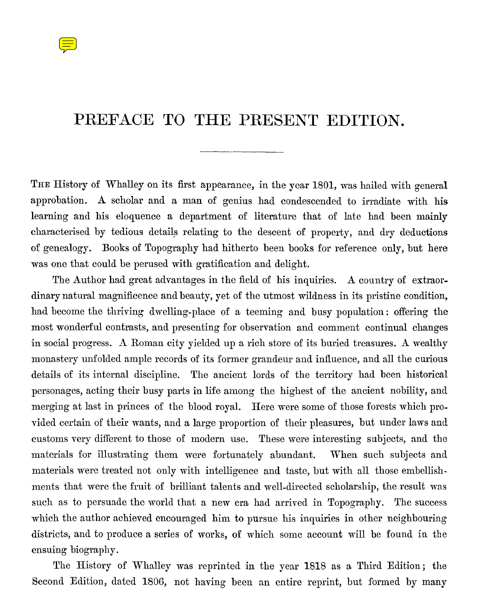

## PREFACE TO THE PRESENT EDITION.

THE History of Whalley on its first appearance, in the year 1801, was hailed with general approbation. A scholar and a man of genius had condescended to irradiate with **his** learning and his eloquence a department of literature that of late had been mainly characterised by tedious details relating to the descent of property, and dry deductions of genealogy. Books of Topography had hitherto been books for reference only, but here was one that could be perused with gratification and delight.

The Author had great advantages in the field of his inquiries. A country of extraordinary natural magnificence and beauty, yet of the utmost wildness in its pristine condition, had become the thriving dwelling-place of a teeming and busy population : offering the most wonderful contrasts, and presenting for observation and comment continual changes in social progress. A Roman city yielded up a rich store of its buried treasures. A wealthy monastery unfolded ample records of its former grandeur and influence, and all the curious details of its internal discipline. The ancient lords of the territory had been historical personages, acting their busy parts in life among the highest of the ancient nobility, and merging at last in princes of the blood royal. Here were some of those forests which provided certain of their wants, and a large proportion of their pleasures, but under laws and customs very different to those of modern use. These were interesting subjects, and the materials for illustrating them were fortunately abundant. When such subjects and. materials were treated not only with intelligence and taste, but with all those embellishments that were the fruit of hrilliant talents and well-directed scholarship, the result was such as to persuade the world that a new era had arrived in Topography. The success which the author achieved encouraged him to pursue his inquiries in other neighbouring districts, and to produce a series of works, of which some account will be found in the ensuing biography.

The History of Whalley was reprinted in the year 1818 as a Third Edition; the Second. Edition, dated 1806, not having been an entire reprint, but formed by many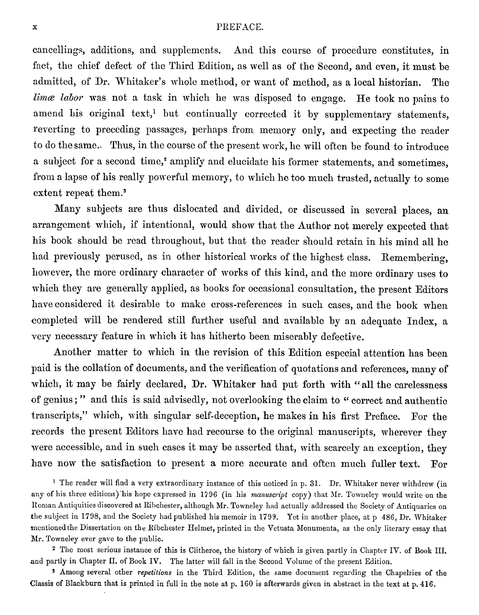x<br>
eancellings, additions, and supplements. And t cancellings, additions, and supplements. And this course of procedure constitutes, in fact, the chief defect of the Third Edition, as well as of the Second, and even, it must be admitted, of Dr. Whitaker's whole method, or want of method, as a local historian. The *limæ labor* was not a task in which he was disposed to engage. He took no pains to amend his original text,<sup>1</sup> but continually corrected it by supplementary statements, reverting to preceding passages, perhaps from memory only, and expecting the reader to do the same. Thus, in the course of the present work, he will often be found to introduce a subject for a second time,<sup>2</sup> amplify and elucidate his former statements, and sometimes, from a lapse of his really powerful memory, to which he too much trusted, actually to some extent repeat them.<sup>3</sup>

Many subjects are thus dislocated and divided, or discussed in several places, an arrangement which, if intentional, would show that the Author not merely expected that his book should be read throughout, but that the reader should retain in his mind all he had previously perused, as in other historical works of the highest class. Remembering, however, the more ordinary character of works of this kind, and the more ordinary uses to which they are generally applied, as books for occasional consultation, the present Editors have considered it desirable to make cross-references in such cases, and the book when completed will be rendered still further useful and availahle by an adequate Index, a very necessary feature in which it has hitherto been miserably defective.

Another matter to which in the revision of this Edition especial attention has been paid is the collation of documents, and the verification of quotations and references, many of which, it may be fairly declared, Dr. Whitaker had put forth with " all the carelessness of genius ; " and this is said advisedly, not overlooking the claim to " correct and authentic transcripts," which, with singular self-deception, he makes in his first Preface. For the records the present Editors have had recourse to the original manuscripts, wherever they were accessible, and in such cases it may he asserted that, with scarcely an exception, they have now the satisfaction to present a more accurate and often much fuller text. For

<sup>1</sup> The reader will find a very extraordinary instance of this noticed in p. 31. Dr. Whitaker never withdrew (in any of his threc editions)'his hope expressed in 1796 (in his *manuscript* copy) that Mr. Towneley would write on the Roman Antiquities discovered at Ribchester, although Mr. Towneley had actually addressed the Society of Antiquaries on the subject in 1798, and the Society had published his memoir in 1799. Yet in another place, at p 486, Dr. Whitaker mcntioned the Dissertation on the Ribchester Helmet, printed in the Vetusta Monumenta, as the only literary essay that Mr. Towneley ever gave to the public.

<sup>2</sup> The most serious instance of this is Clitheroe, the history of which is given partly in Chapter IV. of Book III. and partly in Chapter H. of Book IV. The latter will fall in the Second Volume of the present Edition.

3 Among several other *repetitions* in the Third Edition, the same document regarding the Chapelries of the Classis of Blackburn that is printed in full in the note at p. 160 is afterwards given in abstract in the text at p. 416.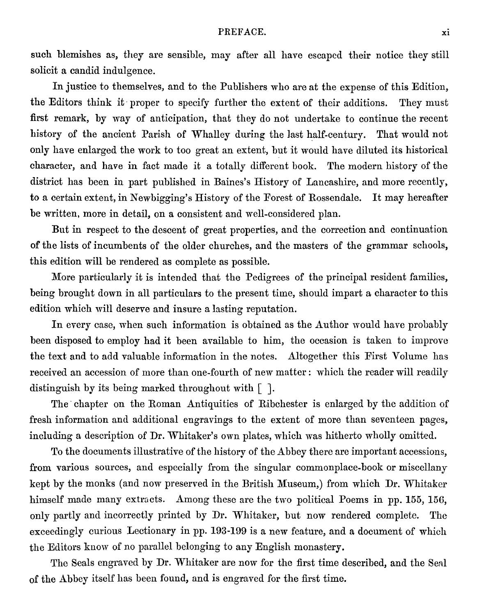PREFACE. xi<br>
ay after all have escaped their notice they still such blemishes as, they are sensible, may after all have escaped their notice they still solicit a candid indulgence.

In justice to themselves, and to the Publishers who are at the expense of this Edition, the Editors think it proper to specify further the extent of their additions. They must first remark, by way of anticipation, that they do not undertake to continue the recent history of the ancient Parish of Whalley during the last half-century. That would not only have enlarged the work to too great an extent, but it would have diluted its historical character, and have in fact made it a totally different book. The modern history of the district has been in part published in Baines's History of Lancashire, and more recently, to a certain extent, in Newbigging's History of the Forest of Rossendale. It may hereafter be written, more in detail, on a consistent and well-considered plan.

But in respect to the descent of great properties, and the correction and continuation of the lists of incumbents of the older churches, and the masters of the grammar schools, this edition will be rendered as complete as possible.

More particularly it is intended that the Pedigrees of the principal resident families, being brought down in all particulars to the present time, should impart a character to this edition which will deserve and insure a lasting reputation.

In every case, when such information is obtained as the Author would have probahly been disposed to employ had it been available to him, the occasion is taken to improve the text and to add valuable information in the notes. Altogether this First Volume has received an accession of more than one-fourth of new matter : which the reader will readily distinguish by its being marked throughout with  $\lceil \ \rceil$ .

The chapter on the Roman Antiquities of Ribchester is enlarged by the addition of fresh information and additional engravings to the extent of more than seventeen pages, including a description of Dr. Whitaker's own plates, which was hitherto wholly omitted.

To the documents illustrative of the history of the Abbey there are important accessions, from various sources, and especially from the singular commonplace-book or miscellany kept by the monks (and now preserved in the British Museum,) from which Dr. Whitaker himself made many extracts. Among these are the two political Poems in pp. 155, 156, only partly and incorrectly printed by Dr. Whitaker, but now rendered complete. The exceedingly curious Lectionary in pp. 193-199 is a new feature, and a document of which the Editors know of no parallel belonging to any English monastery.

The Seals engraved by Dr. Whitaker are now for the first time described, and the Seal of the Abbey itself has been found, and is engraved for the first time.